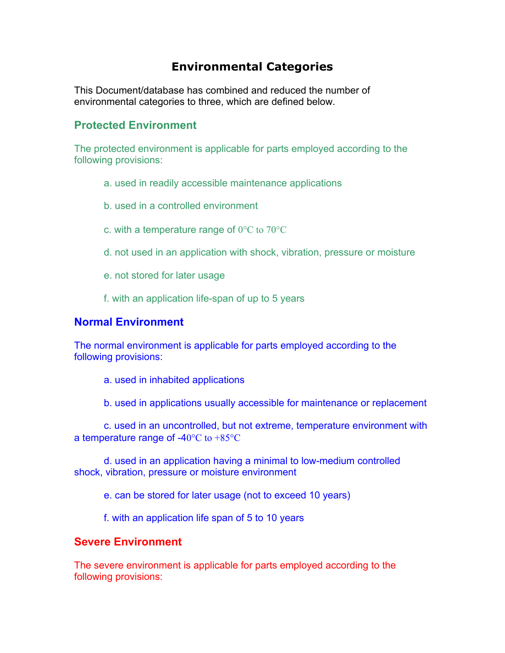## **Environmental Categories**

This Document/database has combined and reduced the number of environmental categories to three, which are defined below.

## **Protected Environment**

The protected environment is applicable for parts employed according to the following provisions:

- a. used in readily accessible maintenance applications
- b. used in a controlled environment
- c. with a temperature range of 0°C to 70°C
- d. not used in an application with shock, vibration, pressure or moisture
- e. not stored for later usage
- f. with an application life-span of up to 5 years

## **Normal Environment**

The normal environment is applicable for parts employed according to the following provisions:

- a. used in inhabited applications
- b. used in applications usually accessible for maintenance or replacement

c. used in an uncontrolled, but not extreme, temperature environment with a temperature range of -40°C to +85°C

d. used in an application having a minimal to low-medium controlled shock, vibration, pressure or moisture environment

e. can be stored for later usage (not to exceed 10 years)

f. with an application life span of 5 to 10 years

## **Severe Environment**

The severe environment is applicable for parts employed according to the following provisions: